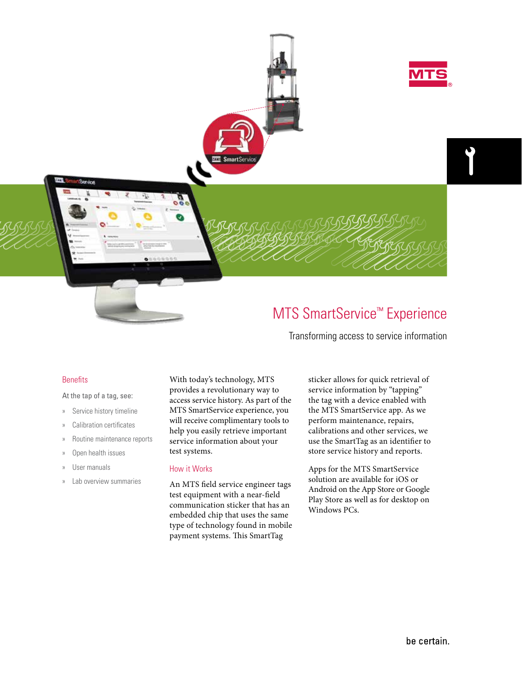

# MTS SmartService™ Experience

Transforming access to service information

## Benefits

#### At the tap of a tag, see:

- » Service history timeline
- » Calibration certificates
- » Routine maintenance reports
- » Open health issues
- » User manuals
- » Lab overview summaries

With today's technology, MTS provides a revolutionary way to access service history. As part of the MTS SmartService experience, you will receive complimentary tools to help you easily retrieve important service information about your test systems.

## How it Works

An MTS field service engineer tags test equipment with a near-field communication sticker that has an embedded chip that uses the same type of technology found in mobile payment systems. This SmartTag

sticker allows for quick retrieval of service information by "tapping" the tag with a device enabled with the MTS SmartService app. As we perform maintenance, repairs, calibrations and other services, we use the SmartTag as an identifier to store service history and reports.

Apps for the MTS SmartService solution are available for iOS or Android on the App Store or Google Play Store as well as for desktop on Windows PCs.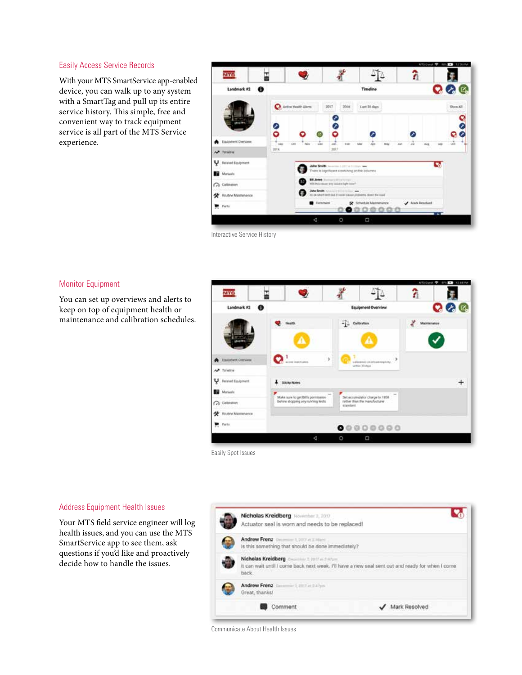### Easily Access Service Records

With your MTS SmartService app-enabled device, you can walk up to any system with a SmartTag and pull up its entire service history. This simple, free and convenient way to track equipment service is all part of the MTS Service experience.



Interactive Service History

### Monitor Equipment

You can set up overviews and alerts to keep on top of equipment health or maintenance and calibration schedules.



# Address Equipment Health Issues

Your MTS field service engineer will log health issues, and you can use the MTS SmartService app to see them, ask questions if you'd like and proactively decide how to handle the issues.



Communicate About Health Issues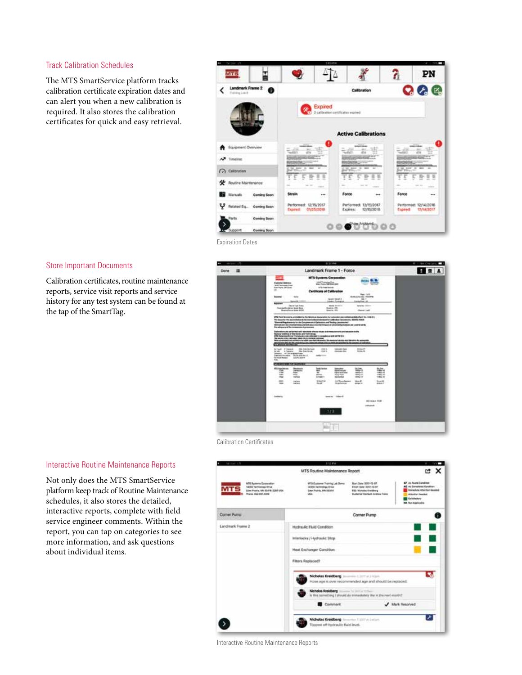### Track Calibration Schedules

The MTS SmartService platform tracks calibration certificate expiration dates and can alert you when a new calibration is required. It also stores the calibration certificates for quick and easy retrieval.



Expiration Dates

### Store Important Documents

Calibration certificates, routine maintenance reports, service visit reports and service history for any test system can be found at the tap of the SmartTag.



Calibration Certificates

## Interactive Routine Maintenance Reports

Not only does the MTS SmartService platform keep track of Routine Maintenance schedules, it also stores the detailed, interactive reports, complete with field service engineer comments. Within the report, you can tap on categories to see more information, and ask questions about individual items.



Interactive Routine Maintenance Reports